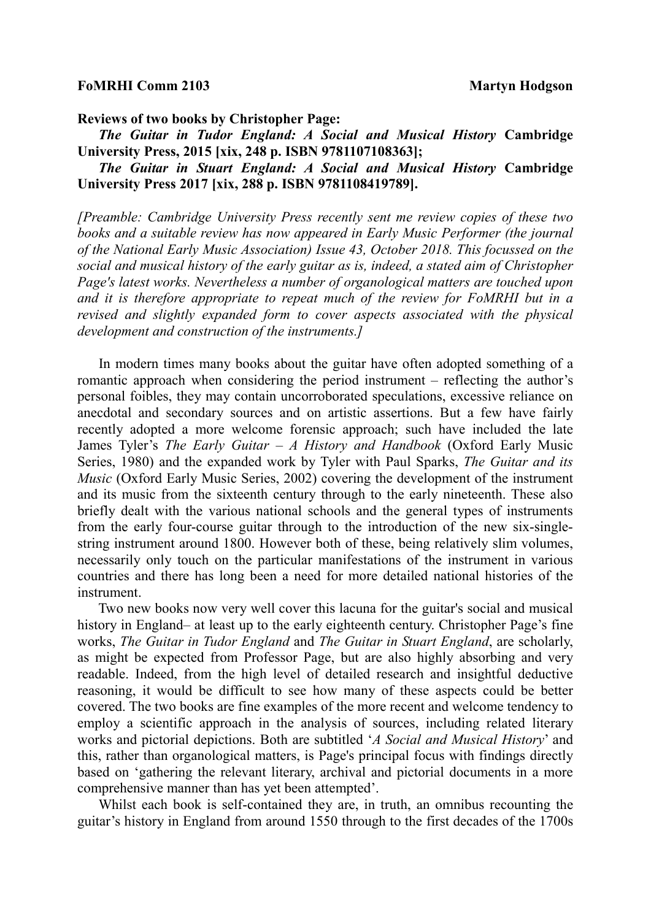## **FoMRHI Comm 2103** Martyn Hodgson

**Reviews of two books by Christopher Page:**

 *The Guitar in Tudor England: A Social and Musical History* **Cambridge University Press, 2015 [xix, 248 p. ISBN 9781107108363];** 

 *The Guitar in Stuart England: A Social and Musical History* **Cambridge University Press 2017 [xix, 288 p. ISBN 9781108419789].** 

*[Preamble: Cambridge University Press recently sent me review copies of these two books and a suitable review has now appeared in Early Music Performer (the journal of the National Early Music Association) Issue 43, October 2018. This focussed on the social and musical history of the early guitar as is, indeed, a stated aim of Christopher Page's latest works. Nevertheless a number of organological matters are touched upon and it is therefore appropriate to repeat much of the review for FoMRHI but in a revised and slightly expanded form to cover aspects associated with the physical development and construction of the instruments.]*

 In modern times many books about the guitar have often adopted something of a romantic approach when considering the period instrument – reflecting the author's personal foibles, they may contain uncorroborated speculations, excessive reliance on anecdotal and secondary sources and on artistic assertions. But a few have fairly recently adopted a more welcome forensic approach; such have included the late James Tyler's *The Early Guitar – A History and Handbook* (Oxford Early Music Series, 1980) and the expanded work by Tyler with Paul Sparks, *The Guitar and its Music* (Oxford Early Music Series, 2002) covering the development of the instrument and its music from the sixteenth century through to the early nineteenth. These also briefly dealt with the various national schools and the general types of instruments from the early four-course guitar through to the introduction of the new six-singlestring instrument around 1800. However both of these, being relatively slim volumes, necessarily only touch on the particular manifestations of the instrument in various countries and there has long been a need for more detailed national histories of the instrument.

 Two new books now very well cover this lacuna for the guitar's social and musical history in England– at least up to the early eighteenth century. Christopher Page's fine works, *The Guitar in Tudor England* and *The Guitar in Stuart England*, are scholarly, as might be expected from Professor Page, but are also highly absorbing and very readable. Indeed, from the high level of detailed research and insightful deductive reasoning, it would be difficult to see how many of these aspects could be better covered. The two books are fine examples of the more recent and welcome tendency to employ a scientific approach in the analysis of sources, including related literary works and pictorial depictions. Both are subtitled '*A Social and Musical History*' and this, rather than organological matters, is Page's principal focus with findings directly based on 'gathering the relevant literary, archival and pictorial documents in a more comprehensive manner than has yet been attempted'.

 Whilst each book is self-contained they are, in truth, an omnibus recounting the guitar's history in England from around 1550 through to the first decades of the 1700s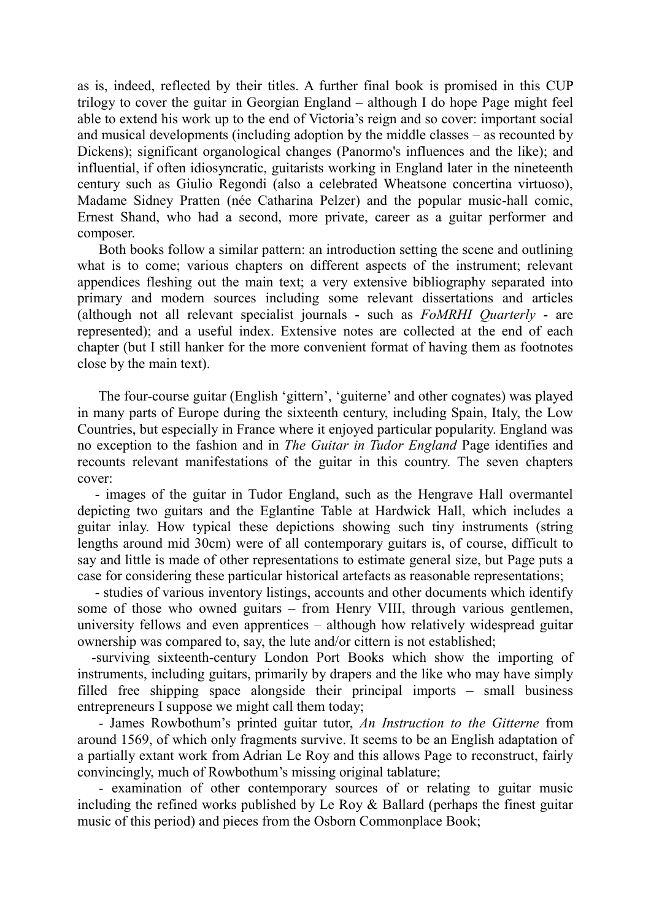as is, indeed, reflected by their titles. A further final book is promised in this CUP trilogy to cover the guitar in Georgian England – although I do hope Page might feel able to extend his work up to the end of Victoria's reign and so cover: important social and musical developments (including adoption by the middle classes – as recounted by Dickens); significant organological changes (Panormo's influences and the like); and influential, if often idiosyncratic, guitarists working in England later in the nineteenth century such as Giulio Regondi (also a celebrated Wheatsone concertina virtuoso), Madame Sidney Pratten (née Catharina Pelzer) and the popular music-hall comic, Ernest Shand, who had a second, more private, career as a guitar performer and composer.

 Both books follow a similar pattern: an introduction setting the scene and outlining what is to come; various chapters on different aspects of the instrument; relevant appendices fleshing out the main text; a very extensive bibliography separated into primary and modern sources including some relevant dissertations and articles (although not all relevant specialist journals - such as *FoMRHI Quarterly* - are represented); and a useful index. Extensive notes are collected at the end of each chapter (but I still hanker for the more convenient format of having them as footnotes close by the main text).

 The four-course guitar (English 'gittern', 'guiterne' and other cognates) was played in many parts of Europe during the sixteenth century, including Spain, Italy, the Low Countries, but especially in France where it enjoyed particular popularity. England was no exception to the fashion and in *The Guitar in Tudor England* Page identifies and recounts relevant manifestations of the guitar in this country. The seven chapters cover:

 - images of the guitar in Tudor England, such as the Hengrave Hall overmantel depicting two guitars and the Eglantine Table at Hardwick Hall, which includes a guitar inlay. How typical these depictions showing such tiny instruments (string lengths around mid 30cm) were of all contemporary guitars is, of course, difficult to say and little is made of other representations to estimate general size, but Page puts a case for considering these particular historical artefacts as reasonable representations;

 - studies of various inventory listings, accounts and other documents which identify some of those who owned guitars – from Henry VIII, through various gentlemen, university fellows and even apprentices – although how relatively widespread guitar ownership was compared to, say, the lute and/or cittern is not established;

 -surviving sixteenth-century London Port Books which show the importing of instruments, including guitars, primarily by drapers and the like who may have simply filled free shipping space alongside their principal imports – small business entrepreneurs I suppose we might call them today;

 - James Rowbothum's printed guitar tutor, *An Instruction to the Gitterne* from around 1569, of which only fragments survive. It seems to be an English adaptation of a partially extant work from Adrian Le Roy and this allows Page to reconstruct, fairly convincingly, much of Rowbothum's missing original tablature;

 - examination of other contemporary sources of or relating to guitar music including the refined works published by Le Roy & Ballard (perhaps the finest guitar music of this period) and pieces from the Osborn Commonplace Book;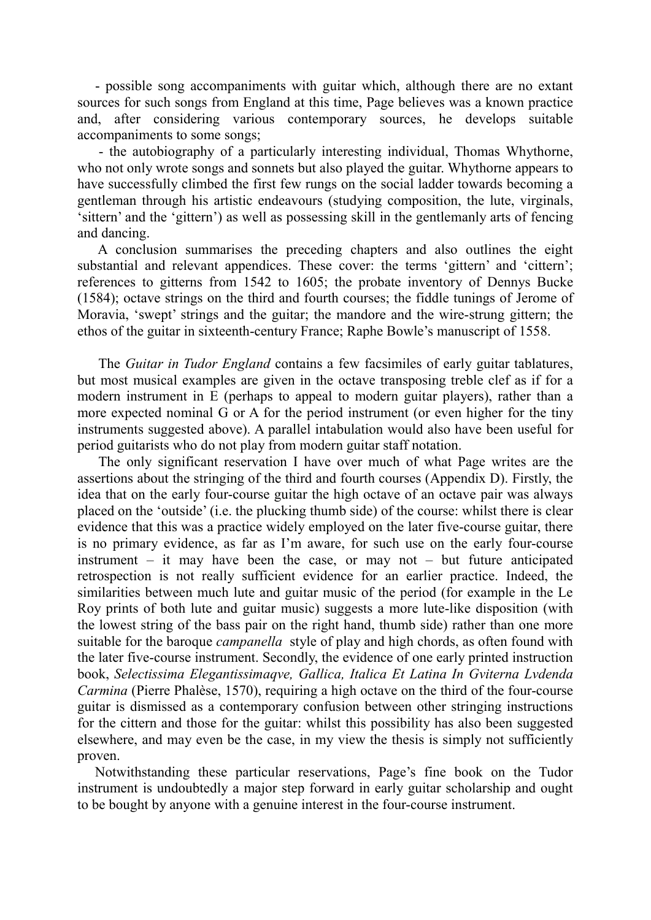- possible song accompaniments with guitar which, although there are no extant sources for such songs from England at this time, Page believes was a known practice and, after considering various contemporary sources, he develops suitable accompaniments to some songs;

 - the autobiography of a particularly interesting individual, Thomas Whythorne, who not only wrote songs and sonnets but also played the guitar. Whythorne appears to have successfully climbed the first few rungs on the social ladder towards becoming a gentleman through his artistic endeavours (studying composition, the lute, virginals, 'sittern' and the 'gittern') as well as possessing skill in the gentlemanly arts of fencing and dancing.

 A conclusion summarises the preceding chapters and also outlines the eight substantial and relevant appendices. These cover: the terms 'gittern' and 'cittern'; references to gitterns from 1542 to 1605; the probate inventory of Dennys Bucke (1584); octave strings on the third and fourth courses; the fiddle tunings of Jerome of Moravia, 'swept' strings and the guitar; the mandore and the wire-strung gittern; the ethos of the guitar in sixteenth-century France; Raphe Bowle's manuscript of 1558.

 The *Guitar in Tudor England* contains a few facsimiles of early guitar tablatures, but most musical examples are given in the octave transposing treble clef as if for a modern instrument in E (perhaps to appeal to modern guitar players), rather than a more expected nominal G or A for the period instrument (or even higher for the tiny instruments suggested above). A parallel intabulation would also have been useful for period guitarists who do not play from modern guitar staff notation.

 The only significant reservation I have over much of what Page writes are the assertions about the stringing of the third and fourth courses (Appendix D). Firstly, the idea that on the early four-course guitar the high octave of an octave pair was always placed on the 'outside' (i.e. the plucking thumb side) of the course: whilst there is clear evidence that this was a practice widely employed on the later five-course guitar, there is no primary evidence, as far as I'm aware, for such use on the early four-course instrument – it may have been the case, or may not – but future anticipated retrospection is not really sufficient evidence for an earlier practice. Indeed, the similarities between much lute and guitar music of the period (for example in the Le Roy prints of both lute and guitar music) suggests a more lute-like disposition (with the lowest string of the bass pair on the right hand, thumb side) rather than one more suitable for the baroque *campanella* style of play and high chords, as often found with the later five-course instrument. Secondly, the evidence of one early printed instruction book, *Selectissima Elegantissimaqve, Gallica, Italica Et Latina In Gviterna Lvdenda Carmina* (Pierre Phalèse, 1570), requiring a high octave on the third of the four-course guitar is dismissed as a contemporary confusion between other stringing instructions for the cittern and those for the guitar: whilst this possibility has also been suggested elsewhere, and may even be the case, in my view the thesis is simply not sufficiently proven.

 Notwithstanding these particular reservations, Page's fine book on the Tudor instrument is undoubtedly a major step forward in early guitar scholarship and ought to be bought by anyone with a genuine interest in the four-course instrument.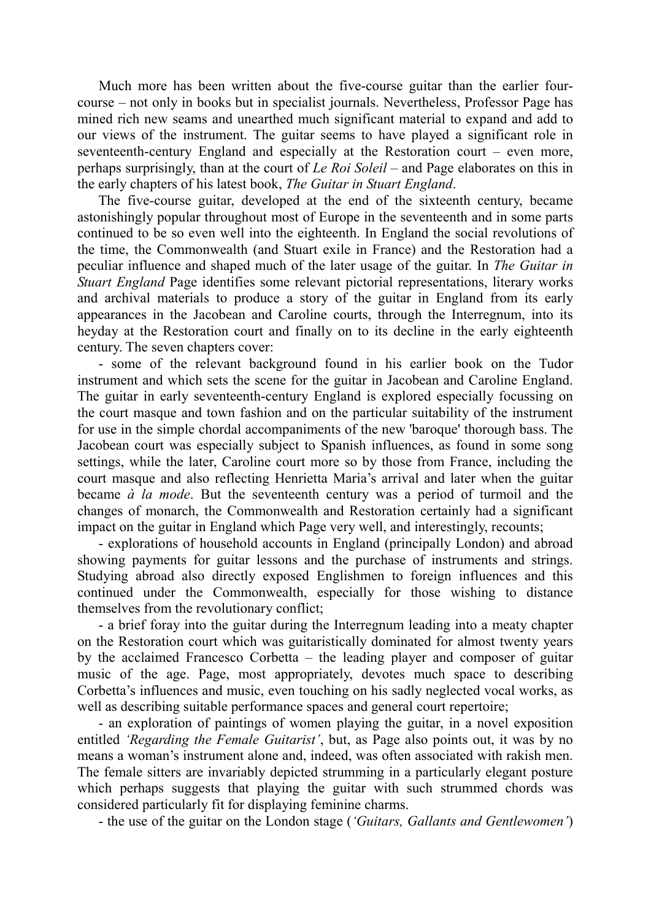Much more has been written about the five-course guitar than the earlier fourcourse – not only in books but in specialist journals. Nevertheless, Professor Page has mined rich new seams and unearthed much significant material to expand and add to our views of the instrument. The guitar seems to have played a significant role in seventeenth-century England and especially at the Restoration court – even more, perhaps surprisingly, than at the court of *Le Roi Soleil* – and Page elaborates on this in the early chapters of his latest book, *The Guitar in Stuart England*.

 The five-course guitar, developed at the end of the sixteenth century, became astonishingly popular throughout most of Europe in the seventeenth and in some parts continued to be so even well into the eighteenth. In England the social revolutions of the time, the Commonwealth (and Stuart exile in France) and the Restoration had a peculiar influence and shaped much of the later usage of the guitar. In *The Guitar in Stuart England* Page identifies some relevant pictorial representations, literary works and archival materials to produce a story of the guitar in England from its early appearances in the Jacobean and Caroline courts, through the Interregnum, into its heyday at the Restoration court and finally on to its decline in the early eighteenth century. The seven chapters cover:

 - some of the relevant background found in his earlier book on the Tudor instrument and which sets the scene for the guitar in Jacobean and Caroline England. The guitar in early seventeenth-century England is explored especially focussing on the court masque and town fashion and on the particular suitability of the instrument for use in the simple chordal accompaniments of the new 'baroque' thorough bass. The Jacobean court was especially subject to Spanish influences, as found in some song settings, while the later, Caroline court more so by those from France, including the court masque and also reflecting Henrietta Maria's arrival and later when the guitar became *à la mode*. But the seventeenth century was a period of turmoil and the changes of monarch, the Commonwealth and Restoration certainly had a significant impact on the guitar in England which Page very well, and interestingly, recounts;

 - explorations of household accounts in England (principally London) and abroad showing payments for guitar lessons and the purchase of instruments and strings. Studying abroad also directly exposed Englishmen to foreign influences and this continued under the Commonwealth, especially for those wishing to distance themselves from the revolutionary conflict;

 - a brief foray into the guitar during the Interregnum leading into a meaty chapter on the Restoration court which was guitaristically dominated for almost twenty years by the acclaimed Francesco Corbetta – the leading player and composer of guitar music of the age. Page, most appropriately, devotes much space to describing Corbetta's influences and music, even touching on his sadly neglected vocal works, as well as describing suitable performance spaces and general court repertoire;

 - an exploration of paintings of women playing the guitar, in a novel exposition entitled *'Regarding the Female Guitarist'*, but, as Page also points out, it was by no means a woman's instrument alone and, indeed, was often associated with rakish men. The female sitters are invariably depicted strumming in a particularly elegant posture which perhaps suggests that playing the guitar with such strummed chords was considered particularly fit for displaying feminine charms.

- the use of the guitar on the London stage (*'Guitars, Gallants and Gentlewomen'*)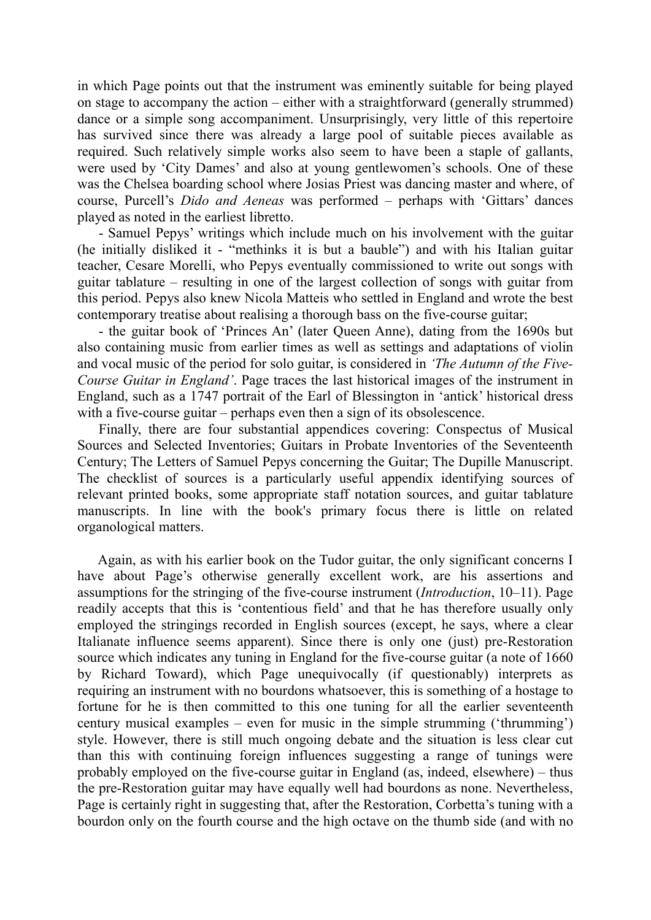in which Page points out that the instrument was eminently suitable for being played on stage to accompany the action – either with a straightforward (generally strummed) dance or a simple song accompaniment. Unsurprisingly, very little of this repertoire has survived since there was already a large pool of suitable pieces available as required. Such relatively simple works also seem to have been a staple of gallants, were used by 'City Dames' and also at young gentlewomen's schools. One of these was the Chelsea boarding school where Josias Priest was dancing master and where, of course, Purcell's *Dido and Aeneas* was performed – perhaps with 'Gittars' dances played as noted in the earliest libretto.

 - Samuel Pepys' writings which include much on his involvement with the guitar (he initially disliked it - "methinks it is but a bauble") and with his Italian guitar teacher, Cesare Morelli, who Pepys eventually commissioned to write out songs with guitar tablature – resulting in one of the largest collection of songs with guitar from this period. Pepys also knew Nicola Matteis who settled in England and wrote the best contemporary treatise about realising a thorough bass on the five-course guitar;

 - the guitar book of 'Princes An' (later Queen Anne), dating from the 1690s but also containing music from earlier times as well as settings and adaptations of violin and vocal music of the period for solo guitar, is considered in *'The Autumn of the Five-Course Guitar in England'*. Page traces the last historical images of the instrument in England, such as a 1747 portrait of the Earl of Blessington in 'antick' historical dress with a five-course guitar – perhaps even then a sign of its obsolescence.

 Finally, there are four substantial appendices covering: Conspectus of Musical Sources and Selected Inventories; Guitars in Probate Inventories of the Seventeenth Century; The Letters of Samuel Pepys concerning the Guitar; The Dupille Manuscript. The checklist of sources is a particularly useful appendix identifying sources of relevant printed books, some appropriate staff notation sources, and guitar tablature manuscripts. In line with the book's primary focus there is little on related organological matters.

 Again, as with his earlier book on the Tudor guitar, the only significant concerns I have about Page's otherwise generally excellent work, are his assertions and assumptions for the stringing of the five-course instrument (*Introduction*, 10–11). Page readily accepts that this is 'contentious field' and that he has therefore usually only employed the stringings recorded in English sources (except, he says, where a clear Italianate influence seems apparent). Since there is only one (just) pre-Restoration source which indicates any tuning in England for the five-course guitar (a note of 1660 by Richard Toward), which Page unequivocally (if questionably) interprets as requiring an instrument with no bourdons whatsoever, this is something of a hostage to fortune for he is then committed to this one tuning for all the earlier seventeenth century musical examples – even for music in the simple strumming ('thrumming') style. However, there is still much ongoing debate and the situation is less clear cut than this with continuing foreign influences suggesting a range of tunings were probably employed on the five-course guitar in England (as, indeed, elsewhere) – thus the pre-Restoration guitar may have equally well had bourdons as none. Nevertheless, Page is certainly right in suggesting that, after the Restoration, Corbetta's tuning with a bourdon only on the fourth course and the high octave on the thumb side (and with no